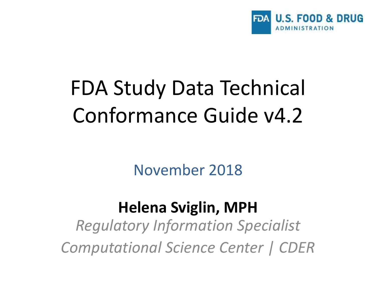

# FDA Study Data Technical Conformance Guide v4.2

November 2018

#### **Helena Sviglin, MPH**

*Regulatory Information Specialist Computational Science Center | CDER*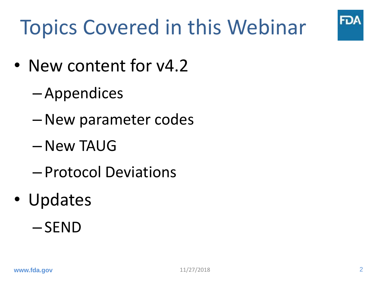

# Topics Covered in this Webinar

- New content for  $v4.2$ 
	- Appendices
	- –New parameter codes
	- –New TAUG
	- Protocol Deviations
- Updates
	- SEND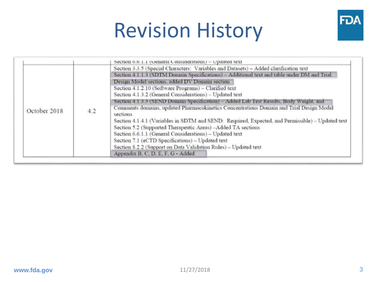# Revision History



|              |     | Section 0.0.1.1 (General Considerations) - Updated text                                                                                                          |
|--------------|-----|------------------------------------------------------------------------------------------------------------------------------------------------------------------|
| October 2018 | 4.2 | Section 3.3.5 (Special Characters: Variables and Datasets) - Added clarification text                                                                            |
|              |     | Section 4.1.1.3 (SDTM Domain Specifications) - Additional text and table under DM and Trial                                                                      |
|              |     | Design Model sections, added DV Domain section                                                                                                                   |
|              |     | Section 4.1.2.10 (Software Programs) - Clarified text                                                                                                            |
|              |     | Section 4.1.3.2 (General Considerations) - Updated text                                                                                                          |
|              |     | Section 4.1.3.3 (SEND Domain Specification) - Added Lab Test Results, Body Weight, and                                                                           |
|              |     | Comments domains, updated Pharmacokinetics Concentrations Domain and Trial Design Model<br>sections                                                              |
|              |     | Section 4.1.4.1 (Variables in SDTM and SEND: Required, Expected, and Permissible) - Updated text<br>Section 5.2 (Supported Therapeutic Areas) -Added TA sections |
|              |     | Section 6.6.1.1 (General Considerations) - Updated text                                                                                                          |
|              |     | Section 7.1 (eCTD Specifications) - Updated text                                                                                                                 |
|              |     | Section 8.2.2 (Support on Data Validation Rules) - Updated text                                                                                                  |
|              |     | Appendix B. C. D. E. F. G - Added                                                                                                                                |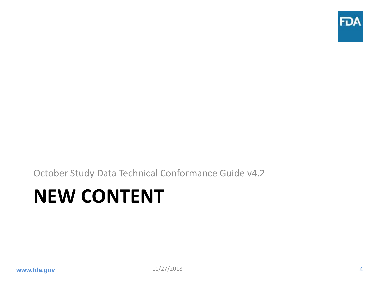

October Study Data Technical Conformance Guide v4.2

### **NEW CONTENT**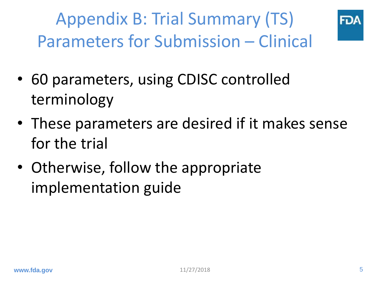Appendix B: Trial Summary (TS) Parameters for Submission – Clinical



- 60 parameters, using CDISC controlled terminology
- These parameters are desired if it makes sense for the trial
- Otherwise, follow the appropriate implementation guide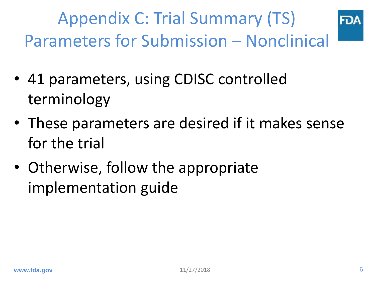Appendix C: Trial Summary (TS) Parameters for Submission – Nonclinical

- 41 parameters, using CDISC controlled terminology
- These parameters are desired if it makes sense for the trial
- Otherwise, follow the appropriate implementation guide

ĐK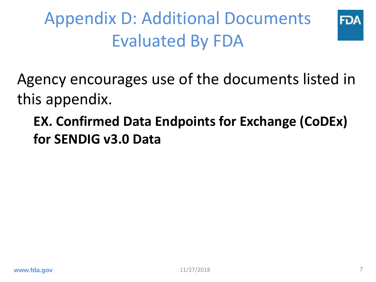Appendix D: Additional Documents Evaluated By FDA



Agency encourages use of the documents listed in this appendix.

**EX. Confirmed Data Endpoints for Exchange (CoDEx) for SENDIG v3.0 Data**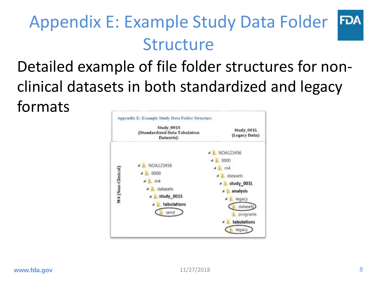#### Appendix E: Example Study Data Folder **FDA** Structure

### Detailed example of file folder structures for nonclinical datasets in both standardized and legacy formats

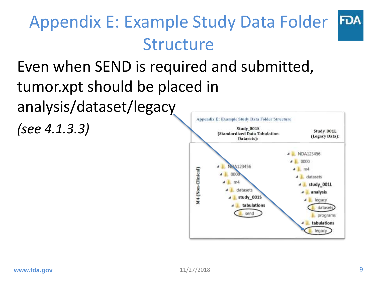#### Appendix E: Example Study Data Folder **FDA** Structure

#### Even when SEND is required and submitted, tumor.xpt should be placed in analysis/dataset/legacy Appendix E: Example Study Data Folder Structure *(see 4.1.3.3)* Study 001S

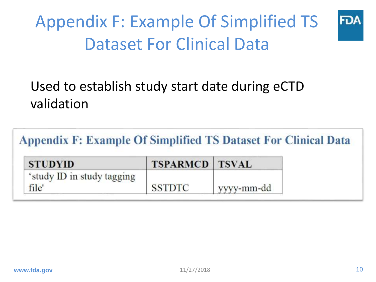### Appendix F: Example Of Simplified TS Dataset For Clinical Data



#### Used to establish study start date during eCTD validation

**Appendix F: Example Of Simplified TS Dataset For Clinical Data** 

| <b>STUDYID</b>             | <b>TSPARMCD TSVAL</b> |            |
|----------------------------|-----------------------|------------|
| 'study ID in study tagging |                       |            |
| file'                      | <b>SSTDTC</b>         | yyyy-mm-dd |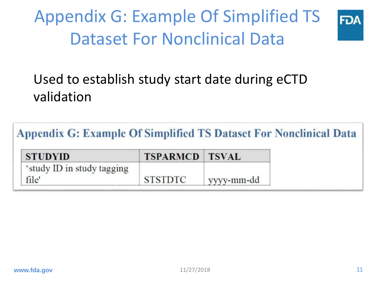### Appendix G: Example Of Simplified TS Dataset For Nonclinical Data



#### Used to establish study start date during eCTD validation

**Appendix G: Example Of Simplified TS Dataset For Nonclinical Data** 

| <b>STUDYID</b>             | <b>TSPARMCD TSVAL</b> |            |
|----------------------------|-----------------------|------------|
| 'study ID in study tagging |                       |            |
| file'                      | <b>STSTDTC</b>        | yyyy-mm-dd |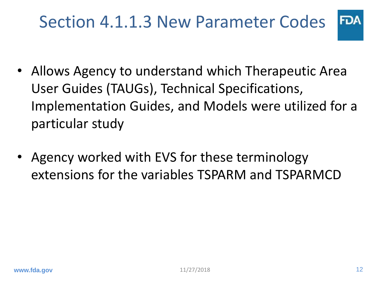### Section 4.1.1.3 New Parameter Codes

- **FDA**
- Allows Agency to understand which Therapeutic Area User Guides (TAUGs), Technical Specifications, Implementation Guides, and Models were utilized for a particular study
- Agency worked with EVS for these terminology extensions for the variables TSPARM and TSPARMCD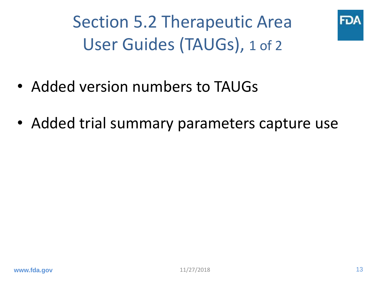Section 5.2 Therapeutic Area User Guides (TAUGs), 1 of 2



- Added version numbers to TAUGs
- Added trial summary parameters capture use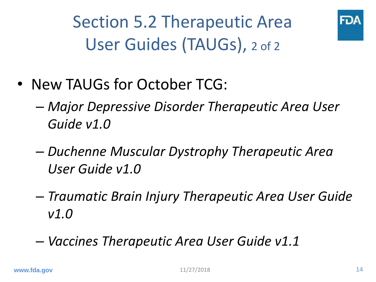Section 5.2 Therapeutic Area User Guides (TAUGs), 2 of 2



- New TAUGs for October TCG:
	- *Major Depressive Disorder Therapeutic Area User Guide v1.0*
	- *Duchenne Muscular Dystrophy Therapeutic Area User Guide v1.0*
	- *Traumatic Brain Injury Therapeutic Area User Guide v1.0*
	- *Vaccines Therapeutic Area User Guide v1.1*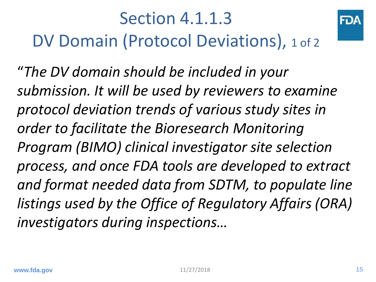### Section 4.1.1.3 DV Domain (Protocol Deviations), 1 of 2

"*The DV domain should be included in your submission. It will be used by reviewers to examine protocol deviation trends of various study sites in order to facilitate the Bioresearch Monitoring Program (BIMO) clinical investigator site selection process, and once FDA tools are developed to extract and format needed data from SDTM, to populate line listings used by the Office of Regulatory Affairs (ORA) investigators during inspections…*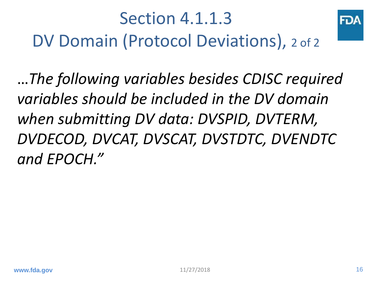

…*The following variables besides CDISC required variables should be included in the DV domain when submitting DV data: DVSPID, DVTERM, DVDECOD, DVCAT, DVSCAT, DVSTDTC, DVENDTC and EPOCH."*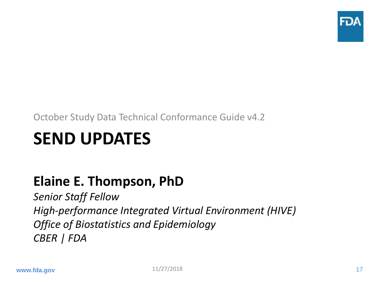

October Study Data Technical Conformance Guide v4.2

### **SEND UPDATES**

#### **Elaine E. Thompson, PhD**

*Senior Staff Fellow High-performance Integrated Virtual Environment (HIVE) Office of Biostatistics and Epidemiology CBER | FDA*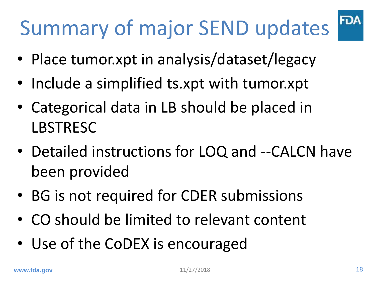# Summary of major SEND updates

- Place tumor.xpt in analysis/dataset/legacy
- Include a simplified ts.xpt with tumor.xpt
- Categorical data in LB should be placed in LBSTRESC
- Detailed instructions for LOQ and --CALCN have been provided
- BG is not required for CDER submissions
- CO should be limited to relevant content
- Use of the CoDEX is encouraged

**FDA**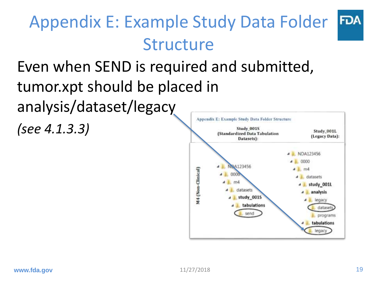#### Appendix E: Example Study Data Folder **FDA** Structure

#### Even when SEND is required and submitted, tumor.xpt should be placed in analysis/dataset/legacy Appendix E: Example Study Data Folder Structure *(see 4.1.3.3)* Study 001S

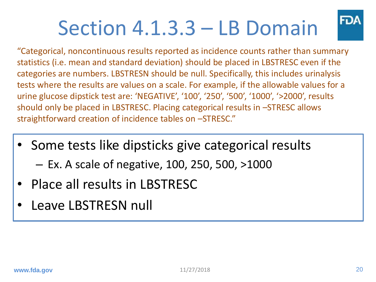# Section 4.1.3.3 – LB Domain



"Categorical, noncontinuous results reported as incidence counts rather than summary statistics (i.e. mean and standard deviation) should be placed in LBSTRESC even if the categories are numbers. LBSTRESN should be null. Specifically, this includes urinalysis tests where the results are values on a scale. For example, if the allowable values for a urine glucose dipstick test are: 'NEGATIVE', '100', '250', '500', '1000', '>2000', results should only be placed in LBSTRESC. Placing categorical results in –STRESC allows straightforward creation of incidence tables on –STRESC."

- Some tests like dipsticks give categorical results – Ex. A scale of negative, 100, 250, 500, >1000
- Place all results in LBSTRESC
- Leave LBSTRESN null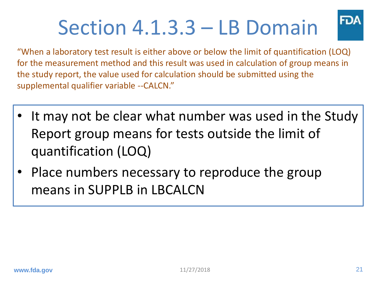# Section 4.1.3.3 – LB Domain



"When a laboratory test result is either above or below the limit of quantification (LOQ) for the measurement method and this result was used in calculation of group means in the study report, the value used for calculation should be submitted using the supplemental qualifier variable --CALCN."

- It may not be clear what number was used in the Study Report group means for tests outside the limit of quantification (LOQ)
- Place numbers necessary to reproduce the group means in SUPPLB in LBCALCN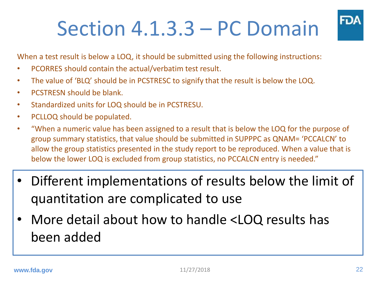# Section 4.1.3.3 – PC Domain



When a test result is below a LOQ, it should be submitted using the following instructions:

- PCORRES should contain the actual/verbatim test result.
- The value of 'BLQ' should be in PCSTRESC to signify that the result is below the LOQ.
- PCSTRESN should be blank.
- Standardized units for LOQ should be in PCSTRESU.
- PCLLOQ should be populated.
- "When a numeric value has been assigned to a result that is below the LOQ for the purpose of group summary statistics, that value should be submitted in SUPPPC as QNAM= 'PCCALCN' to allow the group statistics presented in the study report to be reproduced. When a value that is below the lower LOQ is excluded from group statistics, no PCCALCN entry is needed."
- Different implementations of results below the limit of quantitation are complicated to use
- More detail about how to handle <LOQ results has been added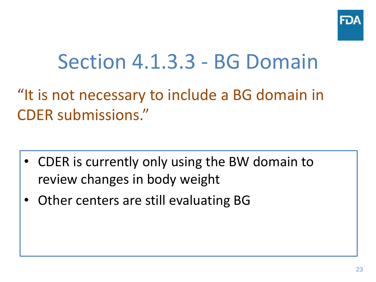

### Section 4.1.3.3 - BG Domain

### "It is not necessary to include a BG domain in CDER submissions."

- CDER is currently only using the BW domain to review changes in body weight
- Other centers are still evaluating BG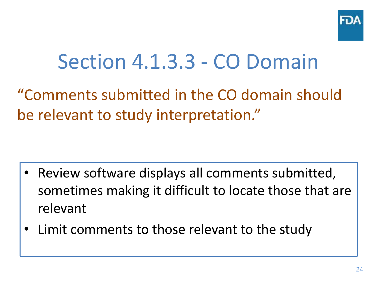

### Section 4.1.3.3 - CO Domain

"Comments submitted in the CO domain should be relevant to study interpretation."

- Review software displays all comments submitted, sometimes making it difficult to locate those that are relevant
- Limit comments to those relevant to the study